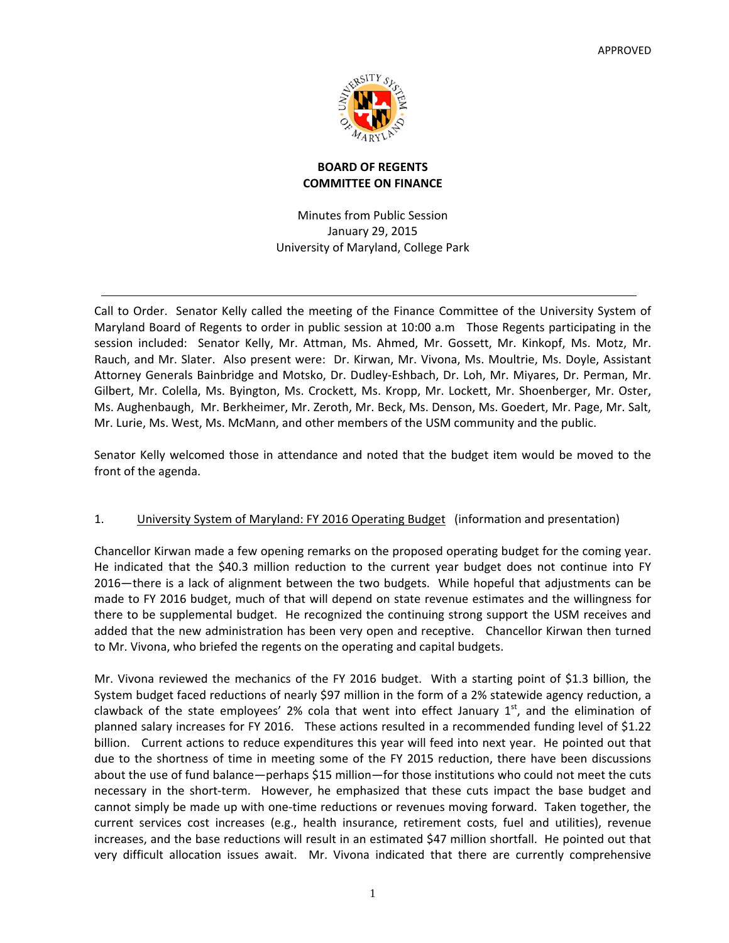

# **BOARD OF REGENTS COMMITTEE ON FINANCE**

Minutes from Public Session January 29, 2015 University of Maryland, College Park

Call to Order. Senator Kelly called the meeting of the Finance Committee of the University System of Maryland Board of Regents to order in public session at 10:00 a.m Those Regents participating in the session included: Senator Kelly, Mr. Attman, Ms. Ahmed, Mr. Gossett, Mr. Kinkopf, Ms. Motz, Mr. Rauch, and Mr. Slater. Also present were: Dr. Kirwan, Mr. Vivona, Ms. Moultrie, Ms. Doyle, Assistant Attorney Generals Bainbridge and Motsko, Dr. Dudley‐Eshbach, Dr. Loh, Mr. Miyares, Dr. Perman, Mr. Gilbert, Mr. Colella, Ms. Byington, Ms. Crockett, Ms. Kropp, Mr. Lockett, Mr. Shoenberger, Mr. Oster, Ms. Aughenbaugh, Mr. Berkheimer, Mr. Zeroth, Mr. Beck, Ms. Denson, Ms. Goedert, Mr. Page, Mr. Salt, Mr. Lurie, Ms. West, Ms. McMann, and other members of the USM community and the public.

Senator Kelly welcomed those in attendance and noted that the budget item would be moved to the front of the agenda.

# 1. University System of Maryland: FY 2016 Operating Budget (information and presentation)

Chancellor Kirwan made a few opening remarks on the proposed operating budget for the coming year. He indicated that the \$40.3 million reduction to the current year budget does not continue into FY 2016—there is a lack of alignment between the two budgets. While hopeful that adjustments can be made to FY 2016 budget, much of that will depend on state revenue estimates and the willingness for there to be supplemental budget. He recognized the continuing strong support the USM receives and added that the new administration has been very open and receptive. Chancellor Kirwan then turned to Mr. Vivona, who briefed the regents on the operating and capital budgets.

Mr. Vivona reviewed the mechanics of the FY 2016 budget. With a starting point of \$1.3 billion, the System budget faced reductions of nearly \$97 million in the form of a 2% statewide agency reduction, a clawback of the state employees' 2% cola that went into effect January  $1<sup>st</sup>$ , and the elimination of planned salary increases for FY 2016. These actions resulted in a recommended funding level of \$1.22 billion. Current actions to reduce expenditures this year will feed into next year. He pointed out that due to the shortness of time in meeting some of the FY 2015 reduction, there have been discussions about the use of fund balance—perhaps \$15 million—for those institutions who could not meet the cuts necessary in the short-term. However, he emphasized that these cuts impact the base budget and cannot simply be made up with one‐time reductions or revenues moving forward. Taken together, the current services cost increases (e.g., health insurance, retirement costs, fuel and utilities), revenue increases, and the base reductions will result in an estimated \$47 million shortfall. He pointed out that very difficult allocation issues await. Mr. Vivona indicated that there are currently comprehensive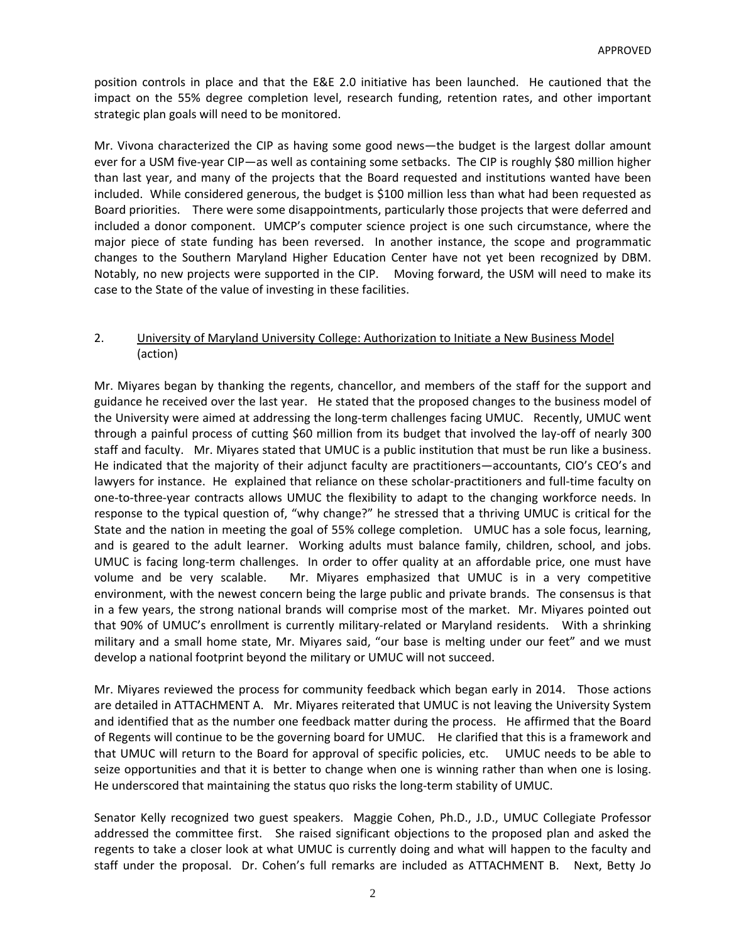position controls in place and that the E&E 2.0 initiative has been launched. He cautioned that the impact on the 55% degree completion level, research funding, retention rates, and other important strategic plan goals will need to be monitored.

Mr. Vivona characterized the CIP as having some good news—the budget is the largest dollar amount ever for a USM five-year CIP—as well as containing some setbacks. The CIP is roughly \$80 million higher than last year, and many of the projects that the Board requested and institutions wanted have been included. While considered generous, the budget is \$100 million less than what had been requested as Board priorities. There were some disappointments, particularly those projects that were deferred and included a donor component. UMCP's computer science project is one such circumstance, where the major piece of state funding has been reversed. In another instance, the scope and programmatic changes to the Southern Maryland Higher Education Center have not yet been recognized by DBM. Notably, no new projects were supported in the CIP. Moving forward, the USM will need to make its case to the State of the value of investing in these facilities.

## 2. University of Maryland University College: Authorization to Initiate a New Business Model (action)

Mr. Miyares began by thanking the regents, chancellor, and members of the staff for the support and guidance he received over the last year. He stated that the proposed changes to the business model of the University were aimed at addressing the long-term challenges facing UMUC. Recently, UMUC went through a painful process of cutting \$60 million from its budget that involved the lay‐off of nearly 300 staff and faculty. Mr. Miyares stated that UMUC is a public institution that must be run like a business. He indicated that the majority of their adjunct faculty are practitioners—accountants, CIO's CEO's and lawyers for instance. He explained that reliance on these scholar-practitioners and full-time faculty on one-to-three-year contracts allows UMUC the flexibility to adapt to the changing workforce needs. In response to the typical question of, "why change?" he stressed that a thriving UMUC is critical for the State and the nation in meeting the goal of 55% college completion. UMUC has a sole focus, learning, and is geared to the adult learner. Working adults must balance family, children, school, and jobs. UMUC is facing long‐term challenges. In order to offer quality at an affordable price, one must have volume and be very scalable. Mr. Miyares emphasized that UMUC is in a very competitive environment, with the newest concern being the large public and private brands. The consensus is that in a few years, the strong national brands will comprise most of the market. Mr. Miyares pointed out that 90% of UMUC's enrollment is currently military-related or Maryland residents. With a shrinking military and a small home state, Mr. Miyares said, "our base is melting under our feet" and we must develop a national footprint beyond the military or UMUC will not succeed.

Mr. Miyares reviewed the process for community feedback which began early in 2014. Those actions are detailed in ATTACHMENT A. Mr. Miyares reiterated that UMUC is not leaving the University System and identified that as the number one feedback matter during the process. He affirmed that the Board of Regents will continue to be the governing board for UMUC. He clarified that this is a framework and that UMUC will return to the Board for approval of specific policies, etc. UMUC needs to be able to seize opportunities and that it is better to change when one is winning rather than when one is losing. He underscored that maintaining the status quo risks the long-term stability of UMUC.

Senator Kelly recognized two guest speakers. Maggie Cohen, Ph.D., J.D., UMUC Collegiate Professor addressed the committee first. She raised significant objections to the proposed plan and asked the regents to take a closer look at what UMUC is currently doing and what will happen to the faculty and staff under the proposal. Dr. Cohen's full remarks are included as ATTACHMENT B. Next, Betty Jo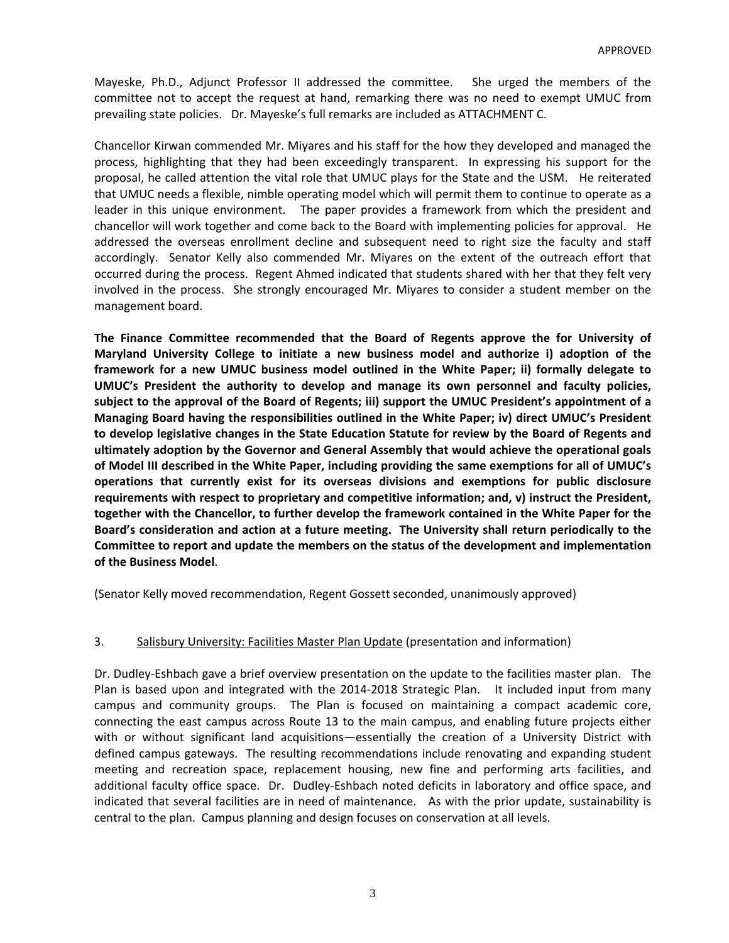Mayeske, Ph.D., Adjunct Professor II addressed the committee. She urged the members of the committee not to accept the request at hand, remarking there was no need to exempt UMUC from prevailing state policies. Dr. Mayeske's full remarks are included as ATTACHMENT C.

Chancellor Kirwan commended Mr. Miyares and his staff for the how they developed and managed the process, highlighting that they had been exceedingly transparent. In expressing his support for the proposal, he called attention the vital role that UMUC plays for the State and the USM. He reiterated that UMUC needs a flexible, nimble operating model which will permit them to continue to operate as a leader in this unique environment. The paper provides a framework from which the president and chancellor will work together and come back to the Board with implementing policies for approval. He addressed the overseas enrollment decline and subsequent need to right size the faculty and staff accordingly. Senator Kelly also commended Mr. Miyares on the extent of the outreach effort that occurred during the process. Regent Ahmed indicated that students shared with her that they felt very involved in the process. She strongly encouraged Mr. Miyares to consider a student member on the management board.

**The Finance Committee recommended that the Board of Regents approve the for University of Maryland University College to initiate a new business model and authorize i) adoption of the framework for a new UMUC business model outlined in the White Paper; ii) formally delegate to UMUC's President the authority to develop and manage its own personnel and faculty policies, subject to the approval of the Board of Regents; iii) support the UMUC President's appointment of a Managing Board having the responsibilities outlined in the White Paper; iv) direct UMUC's President to develop legislative changes in the State Education Statute for review by the Board of Regents and ultimately adoption by the Governor and General Assembly that would achieve the operational goals of Model III described in the White Paper, including providing the same exemptions for all of UMUC's operations that currently exist for its overseas divisions and exemptions for public disclosure requirements with respect to proprietary and competitive information; and, v) instruct the President, together with the Chancellor, to further develop the framework contained in the White Paper for the Board's consideration and action at a future meeting. The University shall return periodically to the Committee to report and update the members on the status of the development and implementation of the Business Model**.

(Senator Kelly moved recommendation, Regent Gossett seconded, unanimously approved)

#### 3. Salisbury University: Facilities Master Plan Update (presentation and information)

Dr. Dudley‐Eshbach gave a brief overview presentation on the update to the facilities master plan. The Plan is based upon and integrated with the 2014‐2018 Strategic Plan. It included input from many campus and community groups. The Plan is focused on maintaining a compact academic core, connecting the east campus across Route 13 to the main campus, and enabling future projects either with or without significant land acquisitions—essentially the creation of a University District with defined campus gateways. The resulting recommendations include renovating and expanding student meeting and recreation space, replacement housing, new fine and performing arts facilities, and additional faculty office space. Dr. Dudley‐Eshbach noted deficits in laboratory and office space, and indicated that several facilities are in need of maintenance. As with the prior update, sustainability is central to the plan. Campus planning and design focuses on conservation at all levels.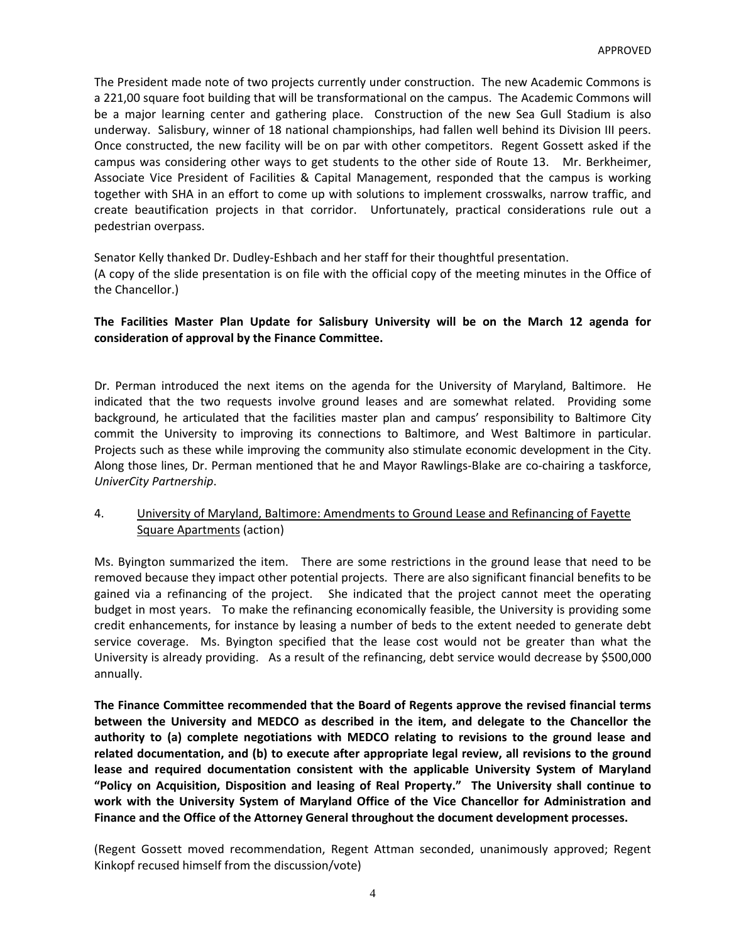The President made note of two projects currently under construction. The new Academic Commons is a 221,00 square foot building that will be transformational on the campus. The Academic Commons will be a major learning center and gathering place. Construction of the new Sea Gull Stadium is also underway. Salisbury, winner of 18 national championships, had fallen well behind its Division III peers. Once constructed, the new facility will be on par with other competitors. Regent Gossett asked if the campus was considering other ways to get students to the other side of Route 13. Mr. Berkheimer, Associate Vice President of Facilities & Capital Management, responded that the campus is working together with SHA in an effort to come up with solutions to implement crosswalks, narrow traffic, and create beautification projects in that corridor. Unfortunately, practical considerations rule out a pedestrian overpass.

Senator Kelly thanked Dr. Dudley‐Eshbach and her staff for their thoughtful presentation. (A copy of the slide presentation is on file with the official copy of the meeting minutes in the Office of the Chancellor.)

## **The Facilities Master Plan Update for Salisbury University will be on the March 12 agenda for consideration of approval by the Finance Committee.**

Dr. Perman introduced the next items on the agenda for the University of Maryland, Baltimore. He indicated that the two requests involve ground leases and are somewhat related. Providing some background, he articulated that the facilities master plan and campus' responsibility to Baltimore City commit the University to improving its connections to Baltimore, and West Baltimore in particular. Projects such as these while improving the community also stimulate economic development in the City. Along those lines, Dr. Perman mentioned that he and Mayor Rawlings‐Blake are co‐chairing a taskforce, *UniverCity Partnership*.

## 4. University of Maryland, Baltimore: Amendments to Ground Lease and Refinancing of Fayette Square Apartments (action)

Ms. Byington summarized the item. There are some restrictions in the ground lease that need to be removed because they impact other potential projects. There are also significant financial benefits to be gained via a refinancing of the project. She indicated that the project cannot meet the operating budget in most years. To make the refinancing economically feasible, the University is providing some credit enhancements, for instance by leasing a number of beds to the extent needed to generate debt service coverage. Ms. Byington specified that the lease cost would not be greater than what the University is already providing. As a result of the refinancing, debt service would decrease by \$500,000 annually.

**The Finance Committee recommended that the Board of Regents approve the revised financial terms between the University and MEDCO as described in the item, and delegate to the Chancellor the authority to (a) complete negotiations with MEDCO relating to revisions to the ground lease and related documentation, and (b) to execute after appropriate legal review, all revisions to the ground lease and required documentation consistent with the applicable University System of Maryland "Policy on Acquisition, Disposition and leasing of Real Property." The University shall continue to work with the University System of Maryland Office of the Vice Chancellor for Administration and Finance and the Office of the Attorney General throughout the document development processes.**

(Regent Gossett moved recommendation, Regent Attman seconded, unanimously approved; Regent Kinkopf recused himself from the discussion/vote)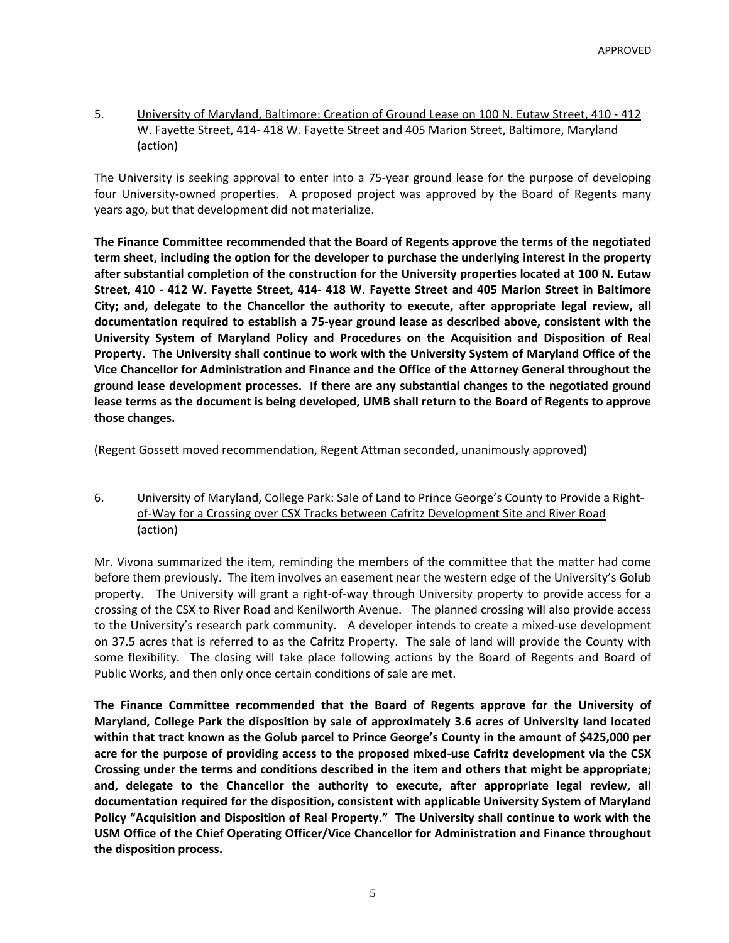5. University of Maryland, Baltimore: Creation of Ground Lease on 100 N. Eutaw Street, 410 ‐ 412 W. Fayette Street, 414‐ 418 W. Fayette Street and 405 Marion Street, Baltimore, Maryland (action)

The University is seeking approval to enter into a 75‐year ground lease for the purpose of developing four University‐owned properties. A proposed project was approved by the Board of Regents many years ago, but that development did not materialize.

**The Finance Committee recommended that the Board of Regents approve the terms of the negotiated term sheet, including the option for the developer to purchase the underlying interest in the property after substantial completion of the construction for the University properties located at 100 N. Eutaw** Street, 410 - 412 W. Fayette Street, 414- 418 W. Fayette Street and 405 Marion Street in Baltimore **City; and, delegate to the Chancellor the authority to execute, after appropriate legal review, all documentation required to establish a 75‐year ground lease as described above, consistent with the University System of Maryland Policy and Procedures on the Acquisition and Disposition of Real Property. The University shall continue to work with the University System of Maryland Office of the Vice Chancellor for Administration and Finance and the Office of the Attorney General throughout the ground lease development processes. If there are any substantial changes to the negotiated ground** lease terms as the document is being developed, UMB shall return to the Board of Regents to approve **those changes.**

(Regent Gossett moved recommendation, Regent Attman seconded, unanimously approved)

6. University of Maryland, College Park: Sale of Land to Prince George's County to Provide a Rightof‐Way for a Crossing over CSX Tracks between Cafritz Development Site and River Road (action)

Mr. Vivona summarized the item, reminding the members of the committee that the matter had come before them previously. The item involves an easement near the western edge of the University's Golub property. The University will grant a right‐of‐way through University property to provide access for a crossing of the CSX to River Road and Kenilworth Avenue. The planned crossing will also provide access to the University's research park community. A developer intends to create a mixed-use development on 37.5 acres that is referred to as the Cafritz Property. The sale of land will provide the County with some flexibility. The closing will take place following actions by the Board of Regents and Board of Public Works, and then only once certain conditions of sale are met.

**The Finance Committee recommended that the Board of Regents approve for the University of Maryland, College Park the disposition by sale of approximately 3.6 acres of University land located** within that tract known as the Golub parcel to Prince George's County in the amount of \$425,000 per **acre for the purpose of providing access to the proposed mixed‐use Cafritz development via the CSX Crossing under the terms and conditions described in the item and others that might be appropriate; and, delegate to the Chancellor the authority to execute, after appropriate legal review, all documentation required for the disposition, consistent with applicable University System of Maryland Policy "Acquisition and Disposition of Real Property." The University shall continue to work with the USM Office of the Chief Operating Officer/Vice Chancellor for Administration and Finance throughout the disposition process.**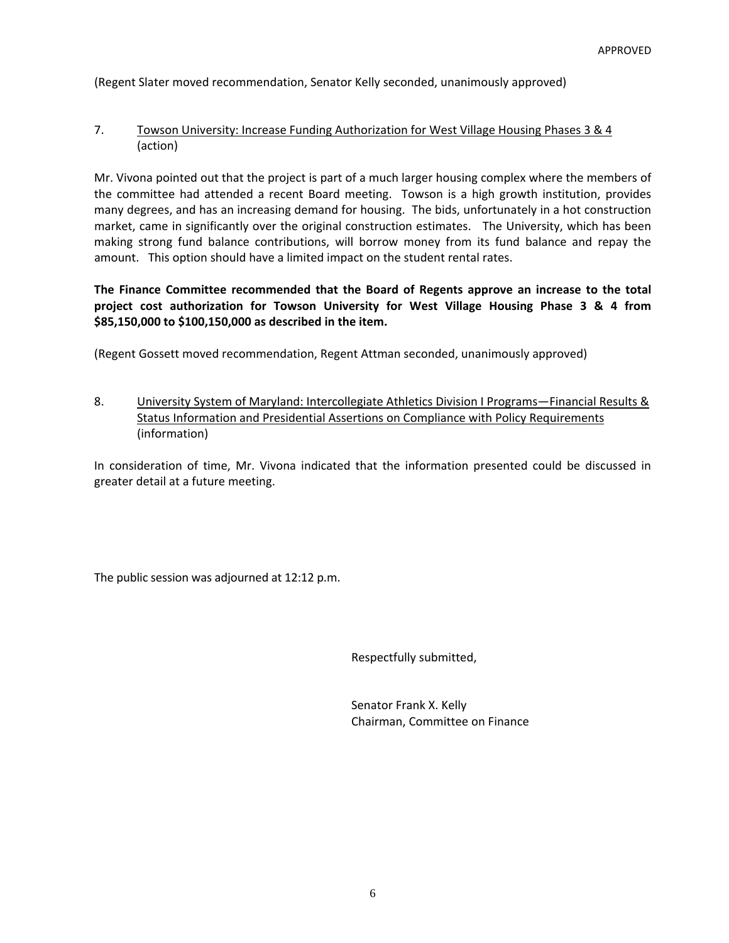(Regent Slater moved recommendation, Senator Kelly seconded, unanimously approved)

#### 7. Towson University: Increase Funding Authorization for West Village Housing Phases 3 & 4 (action)

Mr. Vivona pointed out that the project is part of a much larger housing complex where the members of the committee had attended a recent Board meeting. Towson is a high growth institution, provides many degrees, and has an increasing demand for housing. The bids, unfortunately in a hot construction market, came in significantly over the original construction estimates. The University, which has been making strong fund balance contributions, will borrow money from its fund balance and repay the amount. This option should have a limited impact on the student rental rates.

**The Finance Committee recommended that the Board of Regents approve an increase to the total project cost authorization for Towson University for West Village Housing Phase 3 & 4 from \$85,150,000 to \$100,150,000 as described in the item.**

(Regent Gossett moved recommendation, Regent Attman seconded, unanimously approved)

8. University System of Maryland: Intercollegiate Athletics Division I Programs—Financial Results & Status Information and Presidential Assertions on Compliance with Policy Requirements (information)

In consideration of time, Mr. Vivona indicated that the information presented could be discussed in greater detail at a future meeting.

The public session was adjourned at 12:12 p.m.

Respectfully submitted,

 Senator Frank X. Kelly Chairman, Committee on Finance